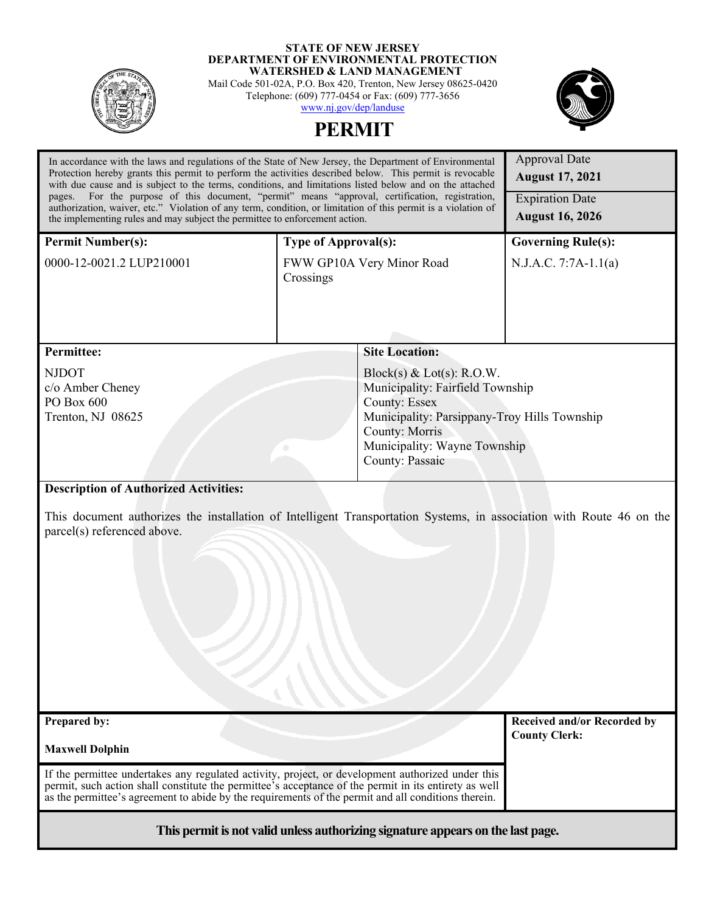

#### **STATE OF NEW JERSEY DEPARTMENT OF ENVIRONMENTAL PROTECTION WATERSHED & LAND MANAGEMENT**

Mail Code 501-02A, P.O. Box 420, Trenton, New Jersey 08625-0420 Telephone: (609) 777-0454 or Fax: (609) 777-3656 [www.nj.gov/dep/landuse](http://www.nj.gov/dep/landuse)

**PERMIT** 



| In accordance with the laws and regulations of the State of New Jersey, the Department of Environmental<br>Protection hereby grants this permit to perform the activities described below. This permit is revocable<br>with due cause and is subject to the terms, conditions, and limitations listed below and on the attached |                                              | <b>Approval Date</b><br><b>August 17, 2021</b> |  |
|---------------------------------------------------------------------------------------------------------------------------------------------------------------------------------------------------------------------------------------------------------------------------------------------------------------------------------|----------------------------------------------|------------------------------------------------|--|
| For the purpose of this document, "permit" means "approval, certification, registration,<br>pages.<br>authorization, waiver, etc." Violation of any term, condition, or limitation of this permit is a violation of                                                                                                             |                                              | <b>Expiration Date</b>                         |  |
| the implementing rules and may subject the permittee to enforcement action.                                                                                                                                                                                                                                                     |                                              | <b>August 16, 2026</b>                         |  |
| <b>Permit Number(s):</b>                                                                                                                                                                                                                                                                                                        | <b>Type of Approval(s):</b>                  | <b>Governing Rule(s):</b>                      |  |
| 0000-12-0021.2 LUP210001                                                                                                                                                                                                                                                                                                        | FWW GP10A Very Minor Road<br>Crossings       | N.J.A.C. 7:7A-1.1(a)                           |  |
| <b>Permittee:</b>                                                                                                                                                                                                                                                                                                               | <b>Site Location:</b>                        |                                                |  |
| <b>NJDOT</b>                                                                                                                                                                                                                                                                                                                    | Block(s) & Lot(s): R.O.W.                    |                                                |  |
| c/o Amber Cheney                                                                                                                                                                                                                                                                                                                | Municipality: Fairfield Township             |                                                |  |
| PO Box 600                                                                                                                                                                                                                                                                                                                      | <b>County: Essex</b>                         |                                                |  |
| Trenton, NJ 08625                                                                                                                                                                                                                                                                                                               | Municipality: Parsippany-Troy Hills Township |                                                |  |
|                                                                                                                                                                                                                                                                                                                                 | <b>County: Morris</b>                        |                                                |  |
|                                                                                                                                                                                                                                                                                                                                 | Municipality: Wayne Township                 |                                                |  |
|                                                                                                                                                                                                                                                                                                                                 | County: Passaic                              |                                                |  |
| <b>Description of Authorized Activities:</b><br>This document authorizes the installation of Intelligent Transportation Systems, in association with Route 46 on the<br>parcel(s) referenced above.                                                                                                                             |                                              |                                                |  |
| Prepared by:                                                                                                                                                                                                                                                                                                                    |                                              | Received and/or Recorded by                    |  |
| <b>Maxwell Dolphin</b>                                                                                                                                                                                                                                                                                                          |                                              | <b>County Clerk:</b>                           |  |
| If the permittee undertakes any regulated activity, project, or development authorized under this<br>permit, such action shall constitute the permittee's acceptance of the permit in its entirety as well<br>as the permittee's agreement to abide by the requirements of the permit and all conditions therein.               |                                              |                                                |  |
| This permit is not valid unless authorizing signature appears on the last page.                                                                                                                                                                                                                                                 |                                              |                                                |  |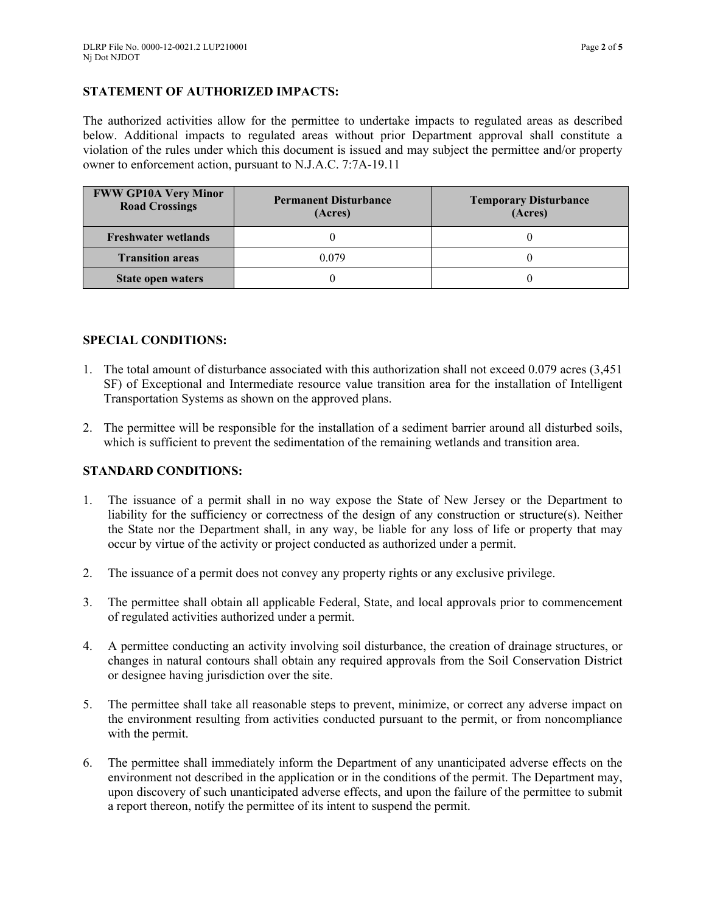## **STATEMENT OF AUTHORIZED IMPACTS:**

The authorized activities allow for the permittee to undertake impacts to regulated areas as described below. Additional impacts to regulated areas without prior Department approval shall constitute a violation of the rules under which this document is issued and may subject the permittee and/or property owner to enforcement action, pursuant to N.J.A.C. 7:7A-19.11

| <b>FWW GP10A Very Minor</b><br><b>Road Crossings</b> | <b>Permanent Disturbance</b><br>(Acres) | <b>Temporary Disturbance</b><br>(Acres) |
|------------------------------------------------------|-----------------------------------------|-----------------------------------------|
| <b>Freshwater wetlands</b>                           |                                         |                                         |
| <b>Transition areas</b>                              | 0.079                                   |                                         |
| State open waters                                    |                                         |                                         |

### **SPECIAL CONDITIONS:**

- 1. The total amount of disturbance associated with this authorization shall not exceed 0.079 acres (3,451 SF) of Exceptional and Intermediate resource value transition area for the installation of Intelligent Transportation Systems as shown on the approved plans.
- 2. The permittee will be responsible for the installation of a sediment barrier around all disturbed soils, which is sufficient to prevent the sedimentation of the remaining wetlands and transition area.

# **STANDARD CONDITIONS:**

- 1. The issuance of a permit shall in no way expose the State of New Jersey or the Department to liability for the sufficiency or correctness of the design of any construction or structure(s). Neither the State nor the Department shall, in any way, be liable for any loss of life or property that may occur by virtue of the activity or project conducted as authorized under a permit.
- 2. The issuance of a permit does not convey any property rights or any exclusive privilege.
- 3. The permittee shall obtain all applicable Federal, State, and local approvals prior to commencement of regulated activities authorized under a permit.
- 4. A permittee conducting an activity involving soil disturbance, the creation of drainage structures, or changes in natural contours shall obtain any required approvals from the Soil Conservation District or designee having jurisdiction over the site.
- 5. The permittee shall take all reasonable steps to prevent, minimize, or correct any adverse impact on the environment resulting from activities conducted pursuant to the permit, or from noncompliance with the permit.
- 6. The permittee shall immediately inform the Department of any unanticipated adverse effects on the environment not described in the application or in the conditions of the permit. The Department may, upon discovery of such unanticipated adverse effects, and upon the failure of the permittee to submit a report thereon, notify the permittee of its intent to suspend the permit.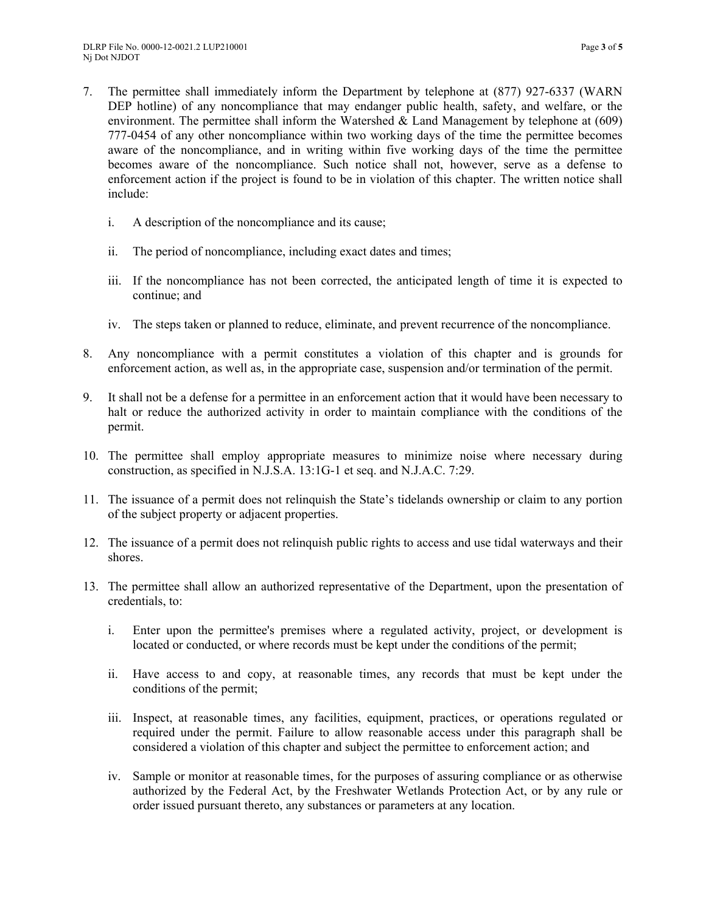- 7. The permittee shall immediately inform the Department by telephone at (877) 927-6337 (WARN DEP hotline) of any noncompliance that may endanger public health, safety, and welfare, or the environment. The permittee shall inform the Watershed  $\&$  Land Management by telephone at (609) 777-0454 of any other noncompliance within two working days of the time the permittee becomes aware of the noncompliance, and in writing within five working days of the time the permittee becomes aware of the noncompliance. Such notice shall not, however, serve as a defense to enforcement action if the project is found to be in violation of this chapter. The written notice shall include:
	- i. A description of the noncompliance and its cause;
	- ii. The period of noncompliance, including exact dates and times;
	- iii. If the noncompliance has not been corrected, the anticipated length of time it is expected to continue; and
	- iv. The steps taken or planned to reduce, eliminate, and prevent recurrence of the noncompliance.
- 8. Any noncompliance with a permit constitutes a violation of this chapter and is grounds for enforcement action, as well as, in the appropriate case, suspension and/or termination of the permit.
- 9. It shall not be a defense for a permittee in an enforcement action that it would have been necessary to halt or reduce the authorized activity in order to maintain compliance with the conditions of the permit.
- 10. The permittee shall employ appropriate measures to minimize noise where necessary during construction, as specified in N.J.S.A. 13:1G-1 et seq. and N.J.A.C. 7:29.
- 11. The issuance of a permit does not relinquish the State's tidelands ownership or claim to any portion of the subject property or adjacent properties.
- 12. The issuance of a permit does not relinquish public rights to access and use tidal waterways and their shores.
- 13. The permittee shall allow an authorized representative of the Department, upon the presentation of credentials, to:
	- i. Enter upon the permittee's premises where a regulated activity, project, or development is located or conducted, or where records must be kept under the conditions of the permit;
	- ii. Have access to and copy, at reasonable times, any records that must be kept under the conditions of the permit;
	- iii. Inspect, at reasonable times, any facilities, equipment, practices, or operations regulated or required under the permit. Failure to allow reasonable access under this paragraph shall be considered a violation of this chapter and subject the permittee to enforcement action; and
	- iv. Sample or monitor at reasonable times, for the purposes of assuring compliance or as otherwise authorized by the Federal Act, by the Freshwater Wetlands Protection Act, or by any rule or order issued pursuant thereto, any substances or parameters at any location.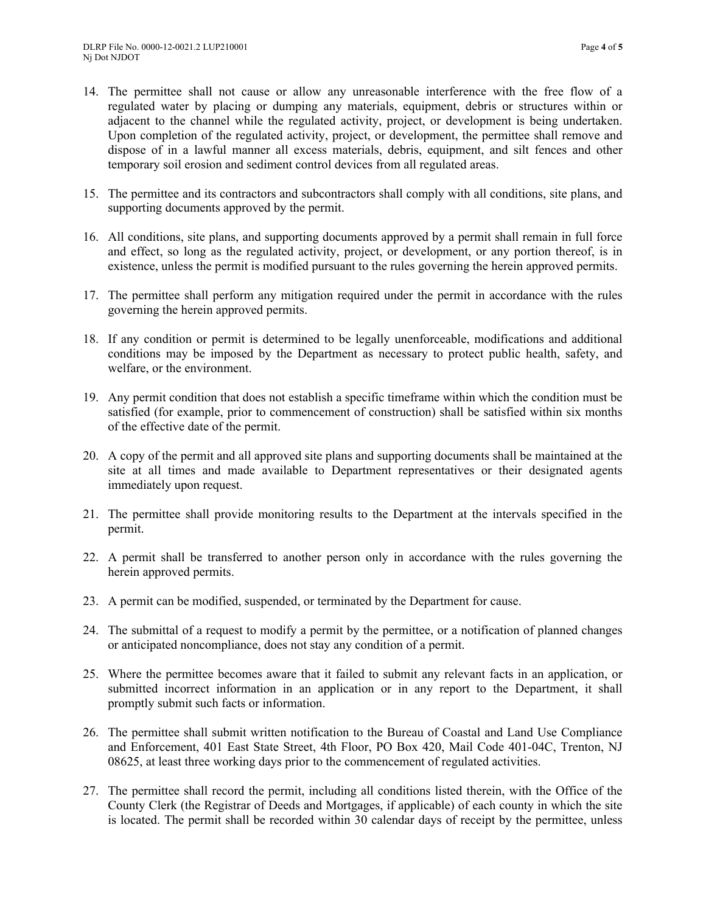- 14. The permittee shall not cause or allow any unreasonable interference with the free flow of a regulated water by placing or dumping any materials, equipment, debris or structures within or adjacent to the channel while the regulated activity, project, or development is being undertaken. Upon completion of the regulated activity, project, or development, the permittee shall remove and dispose of in a lawful manner all excess materials, debris, equipment, and silt fences and other temporary soil erosion and sediment control devices from all regulated areas.
- 15. The permittee and its contractors and subcontractors shall comply with all conditions, site plans, and supporting documents approved by the permit.
- 16. All conditions, site plans, and supporting documents approved by a permit shall remain in full force and effect, so long as the regulated activity, project, or development, or any portion thereof, is in existence, unless the permit is modified pursuant to the rules governing the herein approved permits.
- 17. The permittee shall perform any mitigation required under the permit in accordance with the rules governing the herein approved permits.
- 18. If any condition or permit is determined to be legally unenforceable, modifications and additional conditions may be imposed by the Department as necessary to protect public health, safety, and welfare, or the environment.
- 19. Any permit condition that does not establish a specific timeframe within which the condition must be satisfied (for example, prior to commencement of construction) shall be satisfied within six months of the effective date of the permit.
- 20. A copy of the permit and all approved site plans and supporting documents shall be maintained at the site at all times and made available to Department representatives or their designated agents immediately upon request.
- 21. The permittee shall provide monitoring results to the Department at the intervals specified in the permit.
- 22. A permit shall be transferred to another person only in accordance with the rules governing the herein approved permits.
- 23. A permit can be modified, suspended, or terminated by the Department for cause.
- 24. The submittal of a request to modify a permit by the permittee, or a notification of planned changes or anticipated noncompliance, does not stay any condition of a permit.
- 25. Where the permittee becomes aware that it failed to submit any relevant facts in an application, or submitted incorrect information in an application or in any report to the Department, it shall promptly submit such facts or information.
- 26. The permittee shall submit written notification to the Bureau of Coastal and Land Use Compliance and Enforcement, 401 East State Street, 4th Floor, PO Box 420, Mail Code 401-04C, Trenton, NJ 08625, at least three working days prior to the commencement of regulated activities.
- 27. The permittee shall record the permit, including all conditions listed therein, with the Office of the County Clerk (the Registrar of Deeds and Mortgages, if applicable) of each county in which the site is located. The permit shall be recorded within 30 calendar days of receipt by the permittee, unless